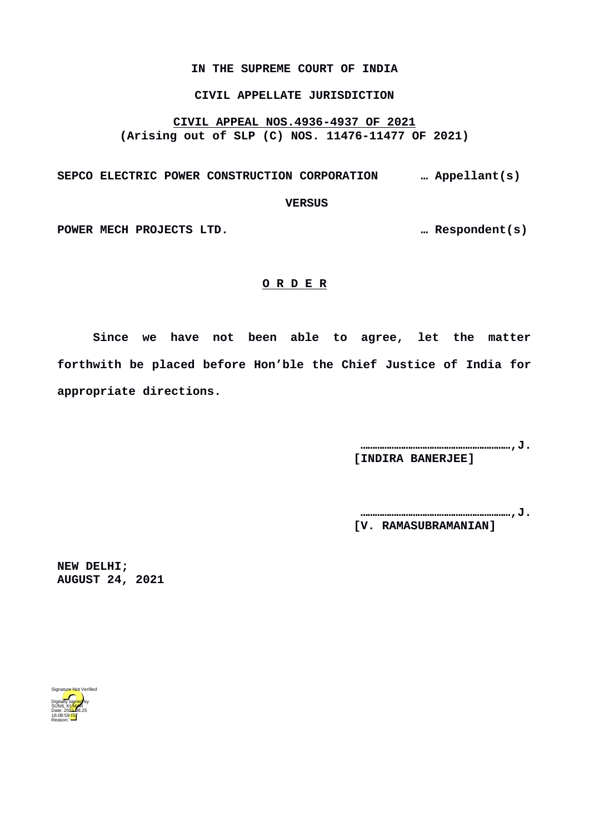#### **IN THE SUPREME COURT OF INDIA**

## **CIVIL APPELLATE JURISDICTION**

## **CIVIL APPEAL NOS.4936-4937 OF 2021 (Arising out of SLP (C) NOS. 11476-11477 OF 2021)**

# **SEPCO ELECTRIC POWER CONSTRUCTION CORPORATION … Appellant(s)**

 **VERSUS**

**POWER MECH PROJECTS LTD. … Respondent(s)**

#### **O R D E R**

**Since we have not been able to agree, let the matter forthwith be placed before Hon'ble the Chief Justice of India for appropriate directions.** 

> **………………………………………………………,J. [INDIRA BANERJEE]**

> **………………………………………………………,J. [V. RAMASUBRAMANIAN]**

**NEW DELHI; AUGUST 24, 2021**

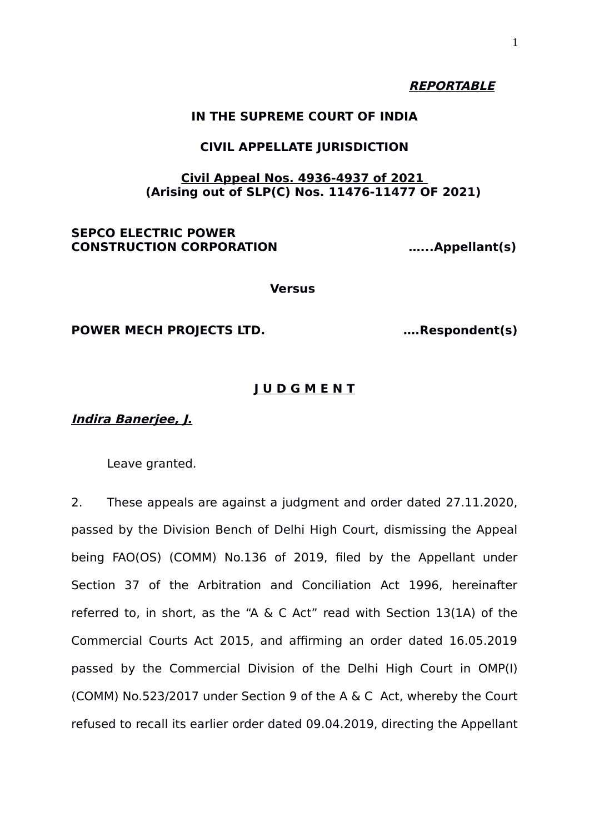# **REPORTABLE**

# **IN THE SUPREME COURT OF INDIA**

# **CIVIL APPELLATE JURISDICTION**

## **Civil Appeal Nos. 4936-4937 of 2021 (Arising out of SLP(C) Nos. 11476-11477 OF 2021)**

# **SEPCO ELECTRIC POWER CONSTRUCTION CORPORATION …...Appellant(s)**

**Versus** 

## **POWER MECH PROJECTS LTD. ….Respondent(s)**

# **J U D G M E N T**

# **Indira Banerjee, J.**

Leave granted.

2. These appeals are against a judgment and order dated 27.11.2020, passed by the Division Bench of Delhi High Court, dismissing the Appeal being FAO(OS) (COMM) No.136 of 2019, filed by the Appellant under Section 37 of the Arbitration and Conciliation Act 1996, hereinafter referred to, in short, as the "A & C Act" read with Section 13(1A) of the Commercial Courts Act 2015, and affirming an order dated 16.05.2019 passed by the Commercial Division of the Delhi High Court in OMP(I) (COMM) No.523/2017 under Section 9 of the A & C Act, whereby the Court refused to recall its earlier order dated 09.04.2019, directing the Appellant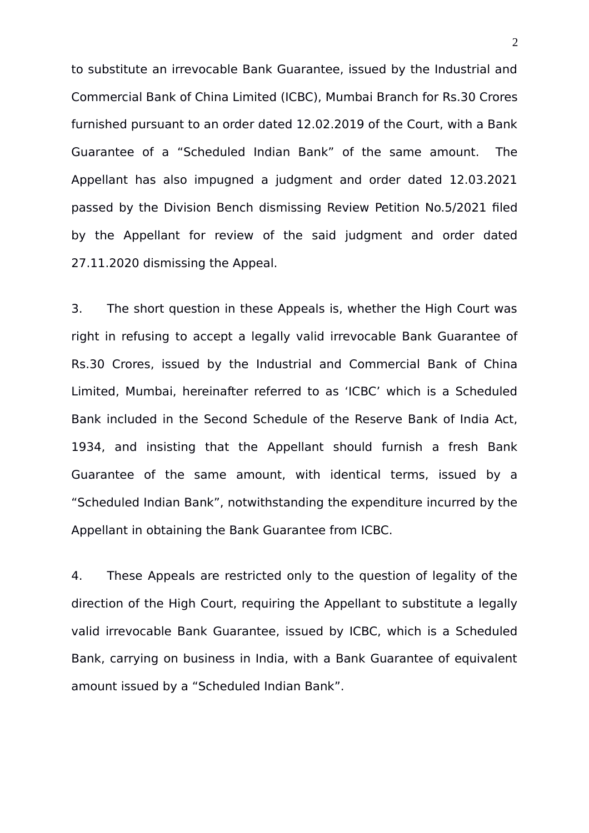to substitute an irrevocable Bank Guarantee, issued by the Industrial and Commercial Bank of China Limited (ICBC), Mumbai Branch for Rs.30 Crores furnished pursuant to an order dated 12.02.2019 of the Court, with a Bank Guarantee of a "Scheduled Indian Bank" of the same amount. The Appellant has also impugned a judgment and order dated 12.03.2021 passed by the Division Bench dismissing Review Petition No.5/2021 filed by the Appellant for review of the said judgment and order dated 27.11.2020 dismissing the Appeal.

3. The short question in these Appeals is, whether the High Court was right in refusing to accept a legally valid irrevocable Bank Guarantee of Rs.30 Crores, issued by the Industrial and Commercial Bank of China Limited, Mumbai, hereinafter referred to as 'ICBC' which is a Scheduled Bank included in the Second Schedule of the Reserve Bank of India Act, 1934, and insisting that the Appellant should furnish a fresh Bank Guarantee of the same amount, with identical terms, issued by a "Scheduled Indian Bank", notwithstanding the expenditure incurred by the Appellant in obtaining the Bank Guarantee from ICBC.

4. These Appeals are restricted only to the question of legality of the direction of the High Court, requiring the Appellant to substitute a legally valid irrevocable Bank Guarantee, issued by ICBC, which is a Scheduled Bank, carrying on business in India, with a Bank Guarantee of equivalent amount issued by a "Scheduled Indian Bank".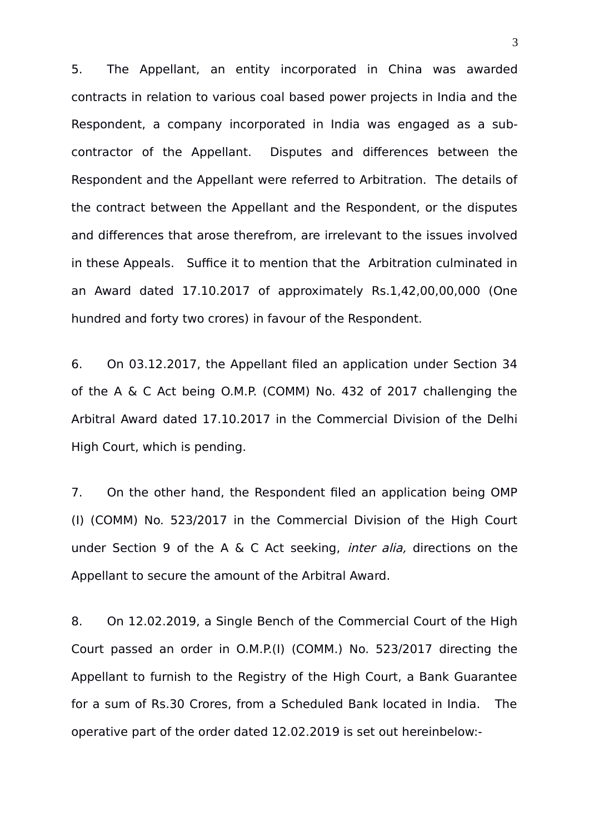5. The Appellant, an entity incorporated in China was awarded contracts in relation to various coal based power projects in India and the Respondent, a company incorporated in India was engaged as a subcontractor of the Appellant. Disputes and differences between the Respondent and the Appellant were referred to Arbitration. The details of the contract between the Appellant and the Respondent, or the disputes and differences that arose therefrom, are irrelevant to the issues involved in these Appeals. Suffice it to mention that the Arbitration culminated in an Award dated 17.10.2017 of approximately Rs.1,42,00,00,000 (One hundred and forty two crores) in favour of the Respondent.

6. On 03.12.2017, the Appellant filed an application under Section 34 of the A & C Act being O.M.P. (COMM) No. 432 of 2017 challenging the Arbitral Award dated 17.10.2017 in the Commercial Division of the Delhi High Court, which is pending.

7. On the other hand, the Respondent filed an application being OMP (I) (COMM) No. 523/2017 in the Commercial Division of the High Court under Section 9 of the A & C Act seeking, inter alia, directions on the Appellant to secure the amount of the Arbitral Award.

8. On 12.02.2019, a Single Bench of the Commercial Court of the High Court passed an order in O.M.P.(I) (COMM.) No. 523/2017 directing the Appellant to furnish to the Registry of the High Court, a Bank Guarantee for a sum of Rs.30 Crores, from a Scheduled Bank located in India. The operative part of the order dated 12.02.2019 is set out hereinbelow:-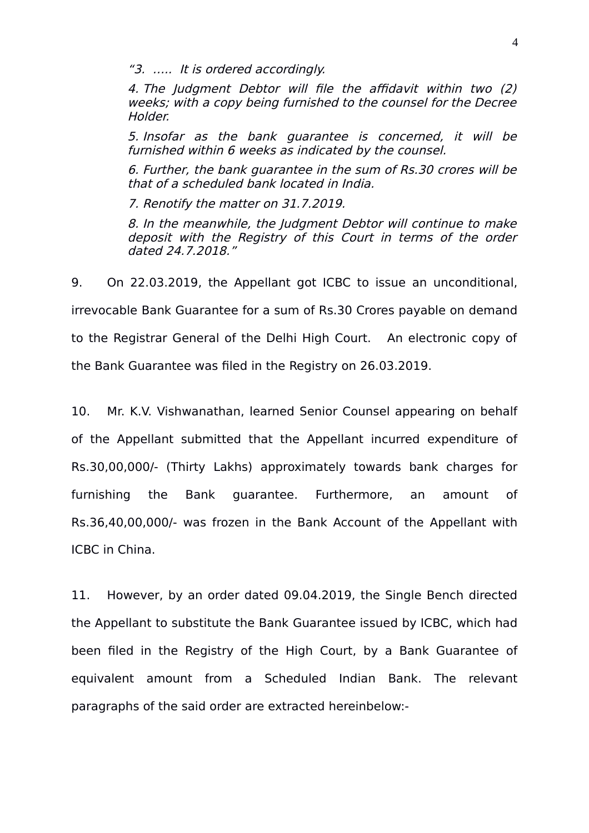"3. ….. It is ordered accordingly.

4. The Judgment Debtor will file the affidavit within two (2) weeks; with a copy being furnished to the counsel for the Decree Holder.

5. Insofar as the bank guarantee is concerned, it will be furnished within 6 weeks as indicated by the counsel.

6. Further, the bank guarantee in the sum of Rs.30 crores will be that of a scheduled bank located in India.

7. Renotify the matter on 31.7.2019.

8. In the meanwhile, the Judgment Debtor will continue to make deposit with the Registry of this Court in terms of the order dated 24.7.2018."

9. On 22.03.2019, the Appellant got ICBC to issue an unconditional, irrevocable Bank Guarantee for a sum of Rs.30 Crores payable on demand to the Registrar General of the Delhi High Court. An electronic copy of the Bank Guarantee was filed in the Registry on 26.03.2019.

10. Mr. K.V. Vishwanathan, learned Senior Counsel appearing on behalf of the Appellant submitted that the Appellant incurred expenditure of Rs.30,00,000/- (Thirty Lakhs) approximately towards bank charges for furnishing the Bank guarantee. Furthermore, an amount of Rs.36,40,00,000/- was frozen in the Bank Account of the Appellant with ICBC in China.

11. However, by an order dated 09.04.2019, the Single Bench directed the Appellant to substitute the Bank Guarantee issued by ICBC, which had been filed in the Registry of the High Court, by a Bank Guarantee of equivalent amount from a Scheduled Indian Bank. The relevant paragraphs of the said order are extracted hereinbelow:-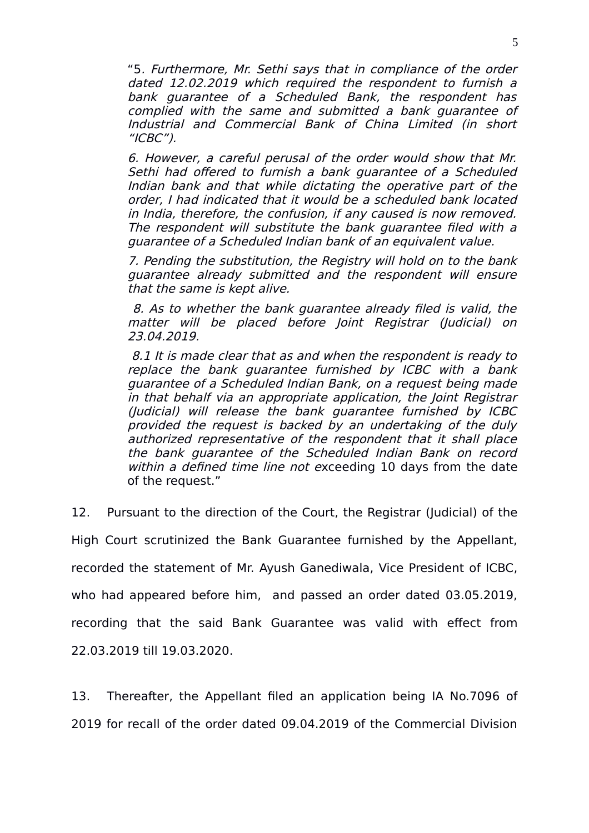"5. Furthermore, Mr. Sethi says that in compliance of the order dated 12.02.2019 which required the respondent to furnish a bank guarantee of <sup>a</sup> Scheduled Bank, the respondent has complied with the same and submitted a bank guarantee of Industrial and Commercial Bank of China Limited (in short  $''ICBC'$ 

6. However, a careful perusal of the order would show that Mr. Sethi had offered to furnish a bank guarantee of a Scheduled Indian bank and that while dictating the operative part of the order, I had indicated that it would be a scheduled bank located in India, therefore, the confusion, if any caused is now removed. The respondent will substitute the bank guarantee filed with a guarantee of a Scheduled Indian bank of an equivalent value.

7. Pending the substitution, the Registry will hold on to the bank guarantee already submitted and the respondent will ensure that the same is kept alive.

 8. As to whether the bank guarantee already filed is valid, the matter will be placed before Joint Registrar (Judicial) on 23.04.2019.

 8.1 It is made clear that as and when the respondent is ready to replace the bank guarantee furnished by ICBC with <sup>a</sup> bank guarantee of a Scheduled Indian Bank, on a request being made in that behalf via an appropriate application, the Joint Registrar (Judicial) will release the bank guarantee furnished by ICBC provided the request is backed by an undertaking of the duly authorized representative of the respondent that it shall place the bank guarantee of the Scheduled Indian Bank on record within a defined time line not exceeding 10 days from the date of the request."

12. Pursuant to the direction of the Court, the Registrar (Judicial) of the High Court scrutinized the Bank Guarantee furnished by the Appellant, recorded the statement of Mr. Ayush Ganediwala, Vice President of ICBC, who had appeared before him, and passed an order dated 03.05.2019, recording that the said Bank Guarantee was valid with effect from 22.03.2019 till 19.03.2020.

13. Thereafter, the Appellant filed an application being IA No.7096 of 2019 for recall of the order dated 09.04.2019 of the Commercial Division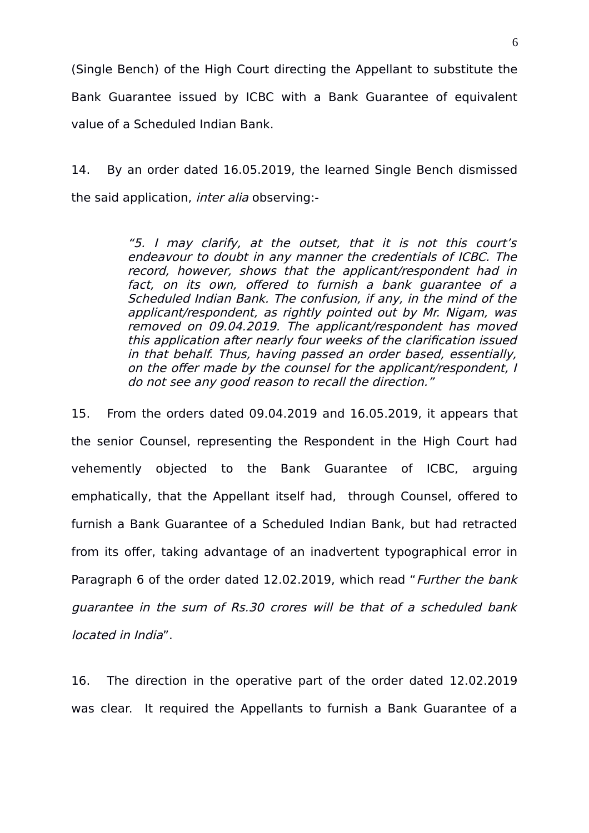(Single Bench) of the High Court directing the Appellant to substitute the Bank Guarantee issued by ICBC with a Bank Guarantee of equivalent value of a Scheduled Indian Bank.

14. By an order dated 16.05.2019, the learned Single Bench dismissed the said application, inter alia observing:-

> "5. I may clarify, at the outset, that it is not this court's endeavour to doubt in any manner the credentials of ICBC. The record, however, shows that the applicant/respondent had in fact, on its own, offered to furnish <sup>a</sup> bank guarantee of <sup>a</sup> Scheduled Indian Bank. The confusion, if any, in the mind of the applicant/respondent, as rightly pointed out by Mr. Nigam, was removed on 09.04.2019. The applicant/respondent has moved this application after nearly four weeks of the clarification issued in that behalf. Thus, having passed an order based, essentially, on the offer made by the counsel for the applicant/respondent, I do not see any good reason to recall the direction."

15. From the orders dated 09.04.2019 and 16.05.2019, it appears that the senior Counsel, representing the Respondent in the High Court had vehemently objected to the Bank Guarantee of ICBC, arguing emphatically, that the Appellant itself had, through Counsel, offered to furnish a Bank Guarantee of a Scheduled Indian Bank, but had retracted from its offer, taking advantage of an inadvertent typographical error in Paragraph 6 of the order dated 12.02.2019, which read "Further the bank guarantee in the sum of Rs.30 crores will be that of a scheduled bank located in India".

16. The direction in the operative part of the order dated 12.02.2019 was clear. It required the Appellants to furnish a Bank Guarantee of a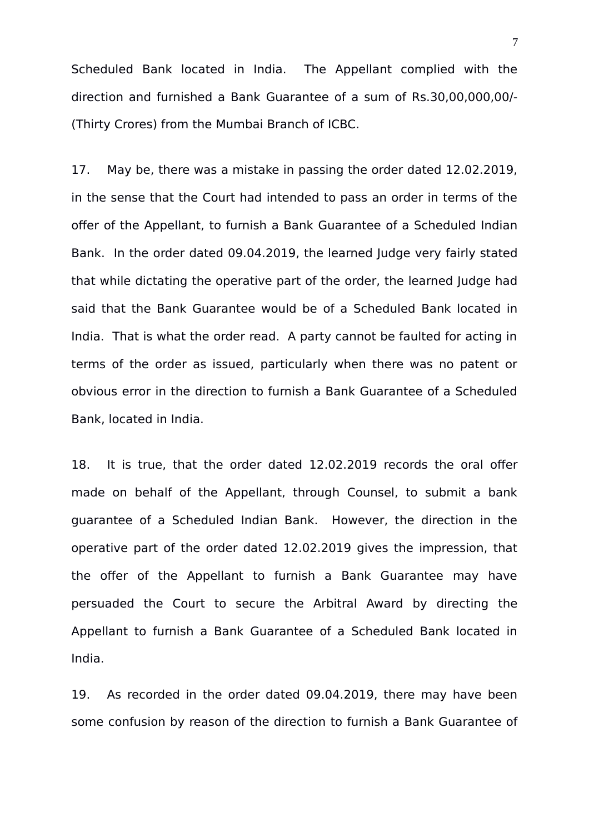Scheduled Bank located in India. The Appellant complied with the direction and furnished a Bank Guarantee of a sum of Rs.30,00,000,00/- (Thirty Crores) from the Mumbai Branch of ICBC.

17. May be, there was a mistake in passing the order dated 12.02.2019, in the sense that the Court had intended to pass an order in terms of the offer of the Appellant, to furnish a Bank Guarantee of a Scheduled Indian Bank. In the order dated 09.04.2019, the learned Judge very fairly stated that while dictating the operative part of the order, the learned Judge had said that the Bank Guarantee would be of a Scheduled Bank located in India. That is what the order read. A party cannot be faulted for acting in terms of the order as issued, particularly when there was no patent or obvious error in the direction to furnish a Bank Guarantee of a Scheduled Bank, located in India.

18. It is true, that the order dated 12.02.2019 records the oral offer made on behalf of the Appellant, through Counsel, to submit a bank guarantee of a Scheduled Indian Bank. However, the direction in the operative part of the order dated 12.02.2019 gives the impression, that the offer of the Appellant to furnish a Bank Guarantee may have persuaded the Court to secure the Arbitral Award by directing the Appellant to furnish a Bank Guarantee of a Scheduled Bank located in India.

19. As recorded in the order dated 09.04.2019, there may have been some confusion by reason of the direction to furnish a Bank Guarantee of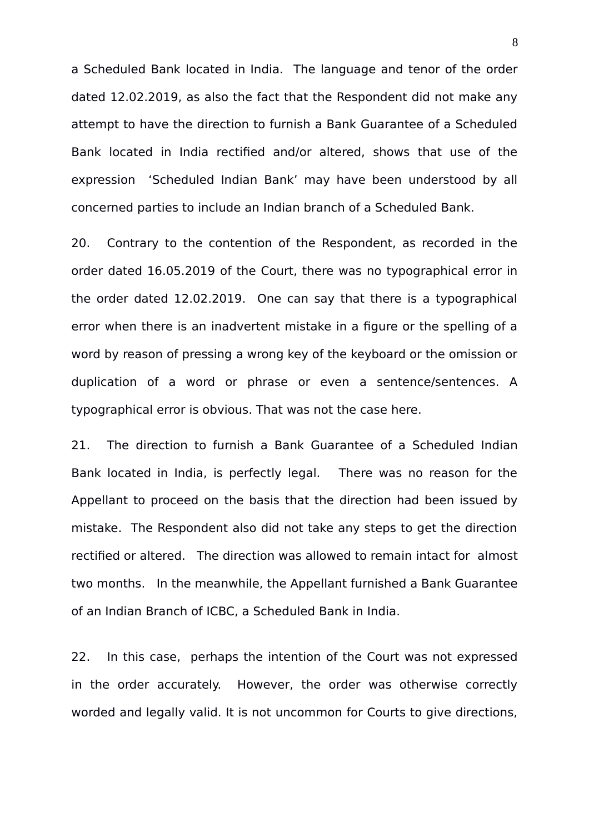a Scheduled Bank located in India. The language and tenor of the order dated 12.02.2019, as also the fact that the Respondent did not make any attempt to have the direction to furnish a Bank Guarantee of a Scheduled Bank located in India rectified and/or altered, shows that use of the expression 'Scheduled Indian Bank' may have been understood by all concerned parties to include an Indian branch of a Scheduled Bank.

20. Contrary to the contention of the Respondent, as recorded in the order dated 16.05.2019 of the Court, there was no typographical error in the order dated 12.02.2019. One can say that there is a typographical error when there is an inadvertent mistake in a figure or the spelling of a word by reason of pressing a wrong key of the keyboard or the omission or duplication of a word or phrase or even a sentence/sentences. A typographical error is obvious. That was not the case here.

21. The direction to furnish a Bank Guarantee of a Scheduled Indian Bank located in India, is perfectly legal. There was no reason for the Appellant to proceed on the basis that the direction had been issued by mistake. The Respondent also did not take any steps to get the direction rectified or altered. The direction was allowed to remain intact for almost two months. In the meanwhile, the Appellant furnished a Bank Guarantee of an Indian Branch of ICBC, a Scheduled Bank in India.

22. In this case, perhaps the intention of the Court was not expressed in the order accurately. However, the order was otherwise correctly worded and legally valid. It is not uncommon for Courts to give directions,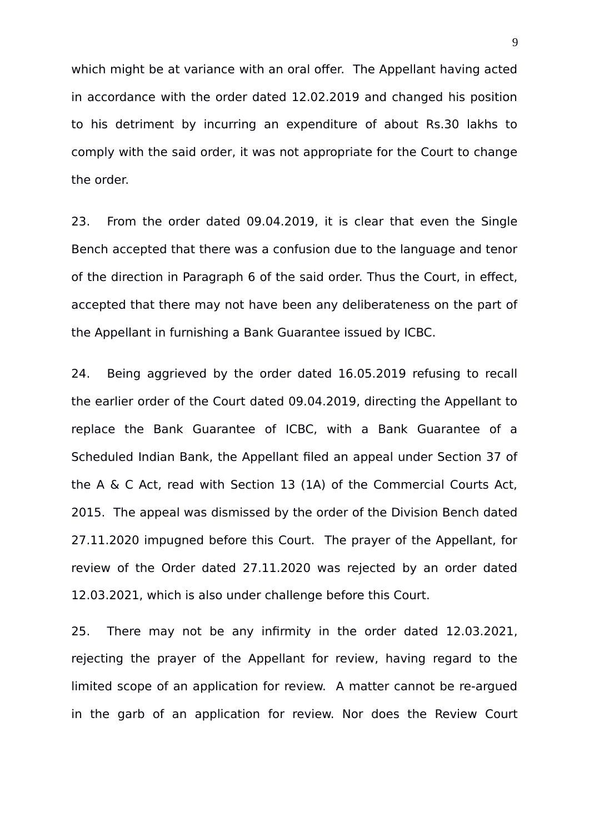which might be at variance with an oral offer. The Appellant having acted in accordance with the order dated 12.02.2019 and changed his position to his detriment by incurring an expenditure of about Rs.30 lakhs to comply with the said order, it was not appropriate for the Court to change the order.

23. From the order dated 09.04.2019, it is clear that even the Single Bench accepted that there was a confusion due to the language and tenor of the direction in Paragraph 6 of the said order. Thus the Court, in effect, accepted that there may not have been any deliberateness on the part of the Appellant in furnishing a Bank Guarantee issued by ICBC.

24. Being aggrieved by the order dated 16.05.2019 refusing to recall the earlier order of the Court dated 09.04.2019, directing the Appellant to replace the Bank Guarantee of ICBC, with a Bank Guarantee of a Scheduled Indian Bank, the Appellant filed an appeal under Section 37 of the A & C Act, read with Section 13 (1A) of the Commercial Courts Act, 2015. The appeal was dismissed by the order of the Division Bench dated 27.11.2020 impugned before this Court. The prayer of the Appellant, for review of the Order dated 27.11.2020 was rejected by an order dated 12.03.2021, which is also under challenge before this Court.

25. There may not be any infirmity in the order dated 12.03.2021, rejecting the prayer of the Appellant for review, having regard to the limited scope of an application for review. A matter cannot be re-argued in the garb of an application for review. Nor does the Review Court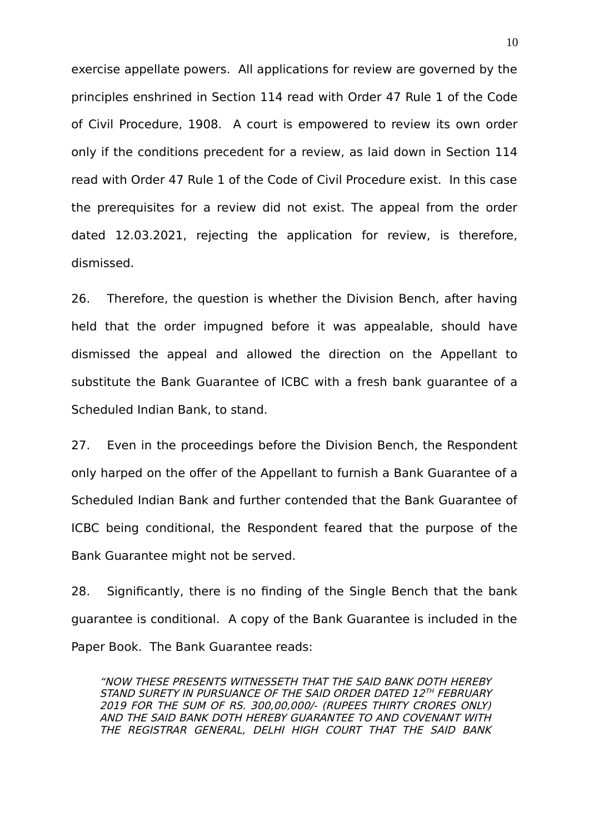exercise appellate powers. All applications for review are governed by the principles enshrined in Section 114 read with Order 47 Rule 1 of the Code of Civil Procedure, 1908. A court is empowered to review its own order only if the conditions precedent for a review, as laid down in Section 114 read with Order 47 Rule 1 of the Code of Civil Procedure exist. In this case the prerequisites for a review did not exist. The appeal from the order dated 12.03.2021, rejecting the application for review, is therefore, dismissed.

26. Therefore, the question is whether the Division Bench, after having held that the order impugned before it was appealable, should have dismissed the appeal and allowed the direction on the Appellant to substitute the Bank Guarantee of ICBC with a fresh bank guarantee of a Scheduled Indian Bank, to stand.

27. Even in the proceedings before the Division Bench, the Respondent only harped on the offer of the Appellant to furnish a Bank Guarantee of a Scheduled Indian Bank and further contended that the Bank Guarantee of ICBC being conditional, the Respondent feared that the purpose of the Bank Guarantee might not be served.

28. Significantly, there is no finding of the Single Bench that the bank guarantee is conditional. A copy of the Bank Guarantee is included in the Paper Book. The Bank Guarantee reads:

"NOW THESE PRESENTS WITNESSETH THAT THE SAID BANK DOTH HEREBY STAND SURETY IN PURSUANCE OF THE SAID ORDER DATED 12™ FEBRUARY 2019 FOR THE SUM OF RS. 300,00,000/- (RUPEES THIRTY CRORES ONLY) AND THE SAID BANK DOTH HEREBY GUARANTEE TO AND COVENANT WITH THE REGISTRAR GENERAL, DELHI HIGH COURT THAT THE SAID BANK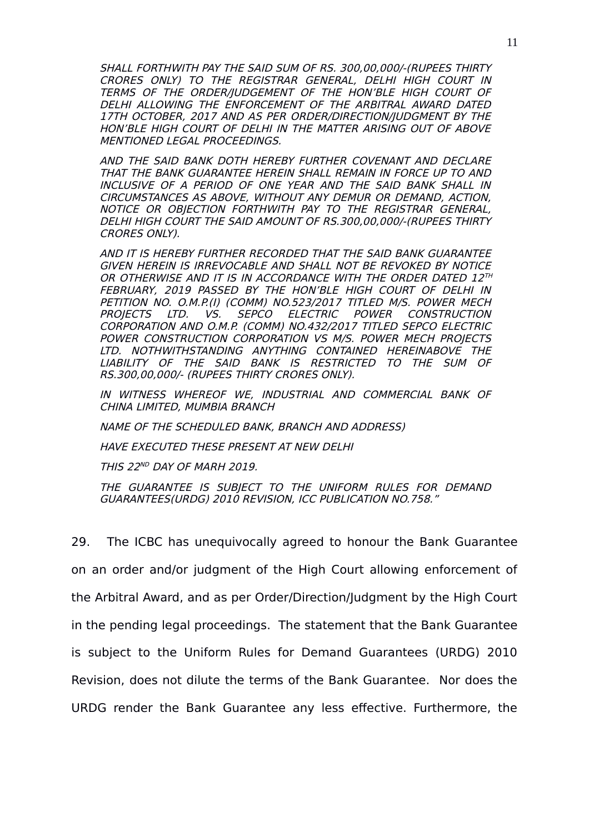SHALL FORTHWITH PAY THE SAID SUM OF RS. 300,00,000/-(RUPEES THIRTY CRORES ONLY) TO THE REGISTRAR GENERAL, DELHI HIGH COURT IN TERMS OF THE ORDER/JUDGEMENT OF THE HON'BLE HIGH COURT OF DELHI ALLOWING THE ENFORCEMENT OF THE ARBITRAL AWARD DATED 17TH OCTOBER, 2017 AND AS PER ORDER/DIRECTION/JUDGMENT BY THE HON'BLE HIGH COURT OF DELHI IN THE MATTER ARISING OUT OF ABOVE MENTIONED LEGAL PROCEEDINGS.

AND THE SAID BANK DOTH HEREBY FURTHER COVENANT AND DECLARE THAT THE BANK GUARANTEE HEREIN SHALL REMAIN IN FORCE UP TO AND INCLUSIVE OF A PERIOD OF ONE YEAR AND THE SAID BANK SHALL IN CIRCUMSTANCES AS ABOVE, WITHOUT ANY DEMUR OR DEMAND, ACTION, NOTICE OR OBJECTION FORTHWITH PAY TO THE REGISTRAR GENERAL, DELHI HIGH COURT THE SAID AMOUNT OF RS.300,00,000/-(RUPEES THIRTY CRORES ONLY).

AND IT IS HEREBY FURTHER RECORDED THAT THE SAID BANK GUARANTEE GIVEN HEREIN IS IRREVOCABLE AND SHALL NOT BE REVOKED BY NOTICE OR OTHERWISE AND IT IS IN ACCORDANCE WITH THE ORDER DATED  $12^{\tau\mu}$ FEBRUARY, 2019 PASSED BY THE HON'BLE HIGH COURT OF DELHI IN PETITION NO. O.M.P.(I) (COMM) NO.523/2017 TITLED M/S. POWER MECH PROJECTS LTD. VS. SEPCO ELECTRIC POWER CONSTRUCTION CORPORATION AND O.M.P. (COMM) NO.432/2017 TITLED SEPCO ELECTRIC POWER CONSTRUCTION CORPORATION VS M/S. POWER MECH PROJECTS LTD. NOTHWITHSTANDING ANYTHING CONTAINED HEREINABOVE THE LIABILITY OF THE SAID BANK IS RESTRICTED TO THE SUM OF RS.300,00,000/- (RUPEES THIRTY CRORES ONLY).

IN WITNESS WHEREOF WE, INDUSTRIAL AND COMMERCIAL BANK OF CHINA LIMITED, MUMBIA BRANCH

NAME OF THE SCHEDULED BANK, BRANCH AND ADDRESS)

HAVE EXECUTED THESE PRESENT AT NEW DELHI

THIS 22<sup>ND</sup> DAY OF MARH 2019.

THE GUARANTEE IS SUBJECT TO THE UNIFORM RULES FOR DEMAND GUARANTEES(URDG) 2010 REVISION, ICC PUBLICATION NO.758."

29. The ICBC has unequivocally agreed to honour the Bank Guarantee on an order and/or judgment of the High Court allowing enforcement of the Arbitral Award, and as per Order/Direction/Judgment by the High Court in the pending legal proceedings. The statement that the Bank Guarantee is subject to the Uniform Rules for Demand Guarantees (URDG) 2010 Revision, does not dilute the terms of the Bank Guarantee. Nor does the URDG render the Bank Guarantee any less effective. Furthermore, the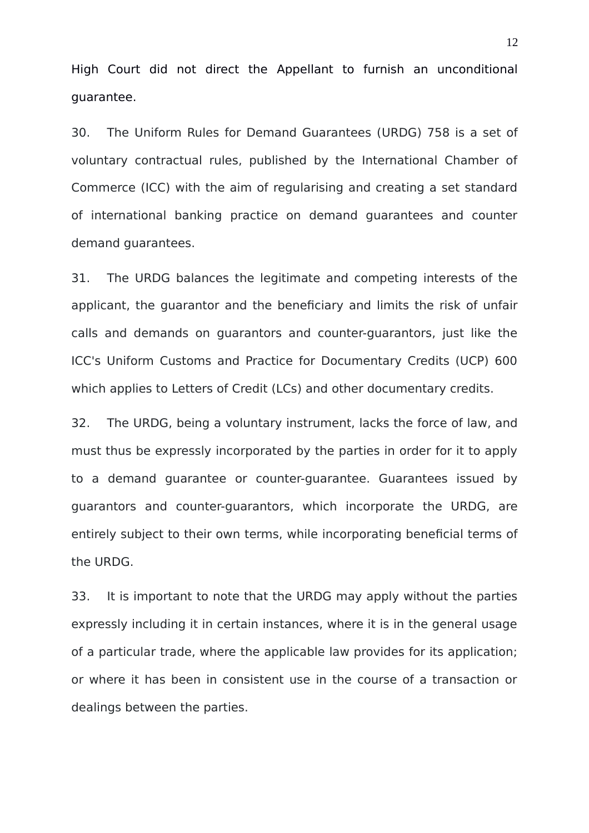High Court did not direct the Appellant to furnish an unconditional guarantee.

30. The Uniform Rules for Demand Guarantees (URDG) 758 is a set of voluntary contractual rules, published by the International Chamber of Commerce (ICC) with the aim of regularising and creating a set standard of international banking practice on demand guarantees and counter demand guarantees.

31. The URDG balances the legitimate and competing interests of the applicant, the guarantor and the beneficiary and limits the risk of unfair calls and demands on guarantors and counter-guarantors, just like the ICC's Uniform Customs and Practice for Documentary Credits (UCP) 600 which applies to Letters of Credit (LCs) and other documentary credits.

32. The URDG, being a voluntary instrument, lacks the force of law, and must thus be expressly incorporated by the parties in order for it to apply to a demand guarantee or counter-guarantee. Guarantees issued by guarantors and counter-guarantors, which incorporate the URDG, are entirely subject to their own terms, while incorporating beneficial terms of the URDG.

33. It is important to note that the URDG may apply without the parties expressly including it in certain instances, where it is in the general usage of a particular trade, where the applicable law provides for its application; or where it has been in consistent use in the course of a transaction or dealings between the parties.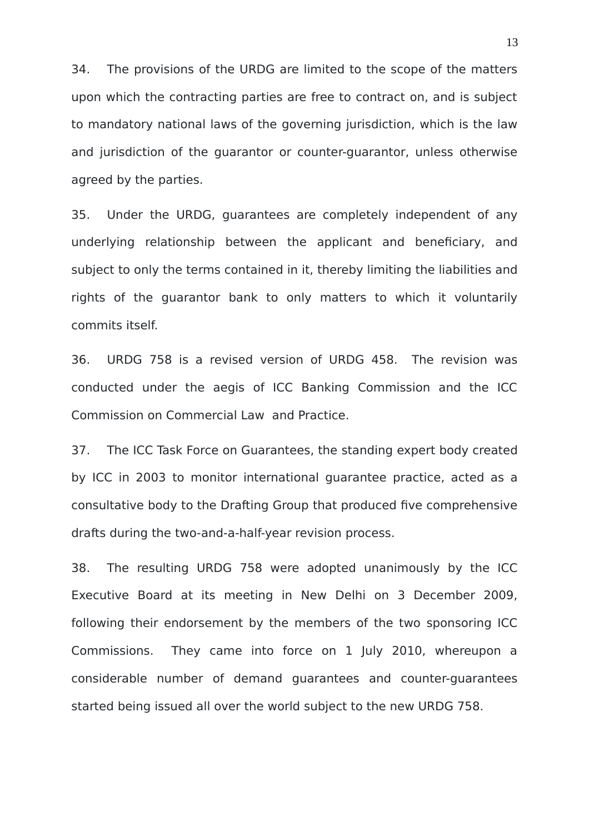34. The provisions of the URDG are limited to the scope of the matters upon which the contracting parties are free to contract on, and is subject to mandatory national laws of the governing jurisdiction, which is the law and jurisdiction of the guarantor or counter-guarantor, unless otherwise agreed by the parties.

35. Under the URDG, guarantees are completely independent of any underlying relationship between the applicant and beneficiary, and subject to only the terms contained in it, thereby limiting the liabilities and rights of the guarantor bank to only matters to which it voluntarily commits itself.

36. URDG 758 is a revised version of URDG 458. The revision was conducted under the aegis of ICC Banking Commission and the ICC Commission on Commercial Law and Practice.

37. The ICC Task Force on Guarantees, the standing expert body created by ICC in 2003 to monitor international guarantee practice, acted as a consultative body to the Drafting Group that produced five comprehensive drafts during the two-and-a-half-year revision process.

38. The resulting URDG 758 were adopted unanimously by the ICC Executive Board at its meeting in New Delhi on 3 December 2009, following their endorsement by the members of the two sponsoring ICC Commissions. They came into force on 1 July 2010, whereupon a considerable number of demand guarantees and counter-guarantees started being issued all over the world subject to the new URDG 758.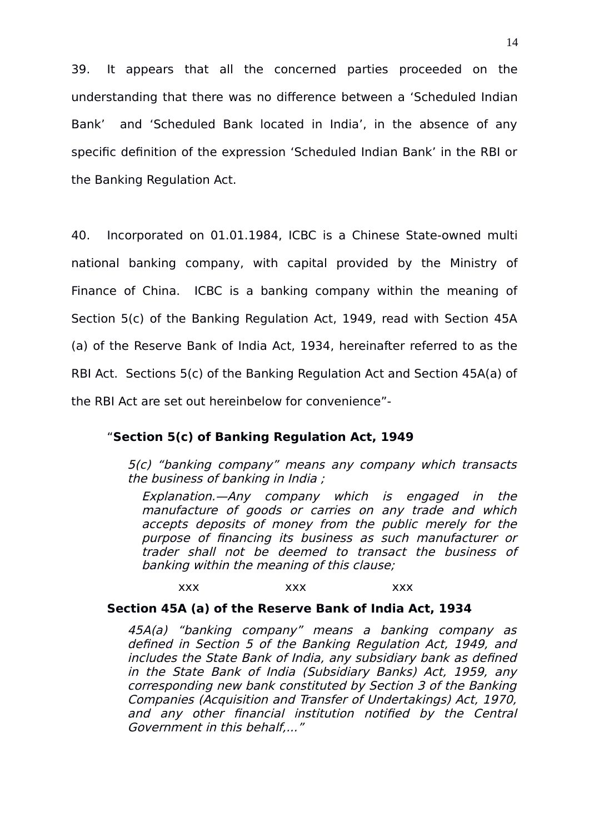39. It appears that all the concerned parties proceeded on the understanding that there was no difference between a 'Scheduled Indian Bank' and 'Scheduled Bank located in India', in the absence of any specific definition of the expression 'Scheduled Indian Bank' in the RBI or the Banking Regulation Act.

40. Incorporated on 01.01.1984, ICBC is a Chinese State-owned multi national banking company, with capital provided by the Ministry of Finance of China. ICBC is a banking company within the meaning of Section 5(c) of the Banking Regulation Act, 1949, read with Section 45A (a) of the Reserve Bank of India Act, 1934, hereinafter referred to as the RBI Act. Sections 5(c) of the Banking Regulation Act and Section 45A(a) of the RBI Act are set out hereinbelow for convenience"-

# "**Section 5(c) of Banking Regulation Act, 1949**

5(c) "banking company" means any company which transacts the business of banking in India ;

Explanation.—Any company which is engaged in the manufacture of goods or carries on any trade and which accepts deposits of money from the public merely for the purpose of financing its business as such manufacturer or trader shall not be deemed to transact the business of banking within the meaning of this clause;

xxx xxx xxx

# **Section 45A (a) of the Reserve Bank of India Act, 1934**

45A(a) "banking company" means <sup>a</sup> banking company as defined in Section 5 of the Banking Regulation Act, 1949, and includes the State Bank of India, any subsidiary bank as defined in the State Bank of India (Subsidiary Banks) Act, 1959, any corresponding new bank constituted by Section 3 of the Banking Companies (Acquisition and Transfer of Undertakings) Act, 1970, and any other financial institution notified by the Central Government in this behalf,..."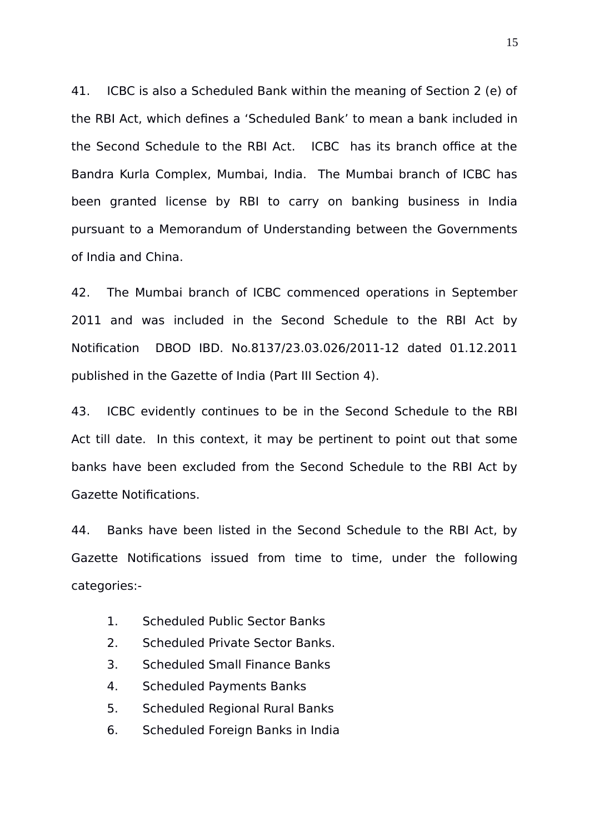41. ICBC is also a Scheduled Bank within the meaning of Section 2 (e) of the RBI Act, which defines a 'Scheduled Bank' to mean a bank included in the Second Schedule to the RBI Act. ICBC has its branch office at the Bandra Kurla Complex, Mumbai, India. The Mumbai branch of ICBC has been granted license by RBI to carry on banking business in India pursuant to a Memorandum of Understanding between the Governments of India and China.

42. The Mumbai branch of ICBC commenced operations in September 2011 and was included in the Second Schedule to the RBI Act by Notification DBOD IBD. No.8137/23.03.026/2011-12 dated 01.12.2011 published in the Gazette of India (Part III Section 4).

43. ICBC evidently continues to be in the Second Schedule to the RBI Act till date. In this context, it may be pertinent to point out that some banks have been excluded from the Second Schedule to the RBI Act by Gazette Notifications.

44. Banks have been listed in the Second Schedule to the RBI Act, by Gazette Notifications issued from time to time, under the following categories:-

- 1. Scheduled Public Sector Banks
- 2. Scheduled Private Sector Banks.
- 3. Scheduled Small Finance Banks
- 4. Scheduled Payments Banks
- 5. Scheduled Regional Rural Banks
- 6. Scheduled Foreign Banks in India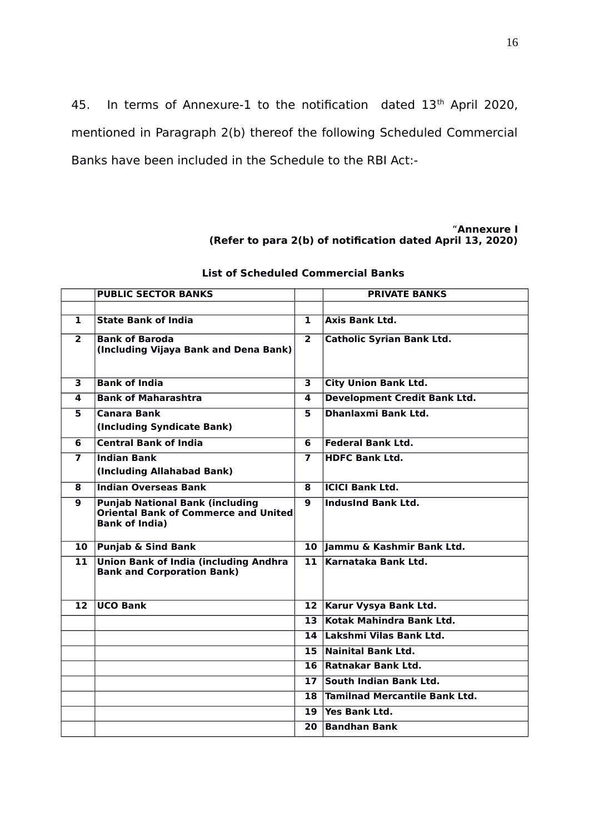45. In terms of Annexure-1 to the notification dated 13<sup>th</sup> April 2020, mentioned in Paragraph 2(b) thereof the following Scheduled Commercial Banks have been included in the Schedule to the RBI Act:-

#### "**Annexure I (Refer to para 2(b) of notification dated April 13, 2020)**

|                 | <b>PUBLIC SECTOR BANKS</b>                                                                                     |                         | <b>PRIVATE BANKS</b>                |
|-----------------|----------------------------------------------------------------------------------------------------------------|-------------------------|-------------------------------------|
|                 |                                                                                                                |                         |                                     |
| 1               | <b>State Bank of India</b>                                                                                     | $\mathbf{1}$            | <b>Axis Bank Ltd.</b>               |
| $\overline{2}$  | <b>Bank of Baroda</b><br>(Including Vijaya Bank and Dena Bank)                                                 | $\overline{2}$          | <b>Catholic Syrian Bank Ltd.</b>    |
|                 | <b>Bank of India</b>                                                                                           |                         |                                     |
| 3               |                                                                                                                | $\overline{\mathbf{3}}$ | <b>City Union Bank Ltd.</b>         |
| 4               | <b>Bank of Maharashtra</b>                                                                                     | 4                       | <b>Development Credit Bank Ltd.</b> |
| 5               | <b>Canara Bank</b>                                                                                             | 5.                      | Dhanlaxmi Bank Ltd.                 |
|                 | (Including Syndicate Bank)                                                                                     |                         |                                     |
| 6               | <b>Central Bank of India</b>                                                                                   | 6                       | <b>Federal Bank Ltd.</b>            |
| $\overline{7}$  | <b>Indian Bank</b>                                                                                             | $\overline{ }$          | <b>HDFC Bank Ltd.</b>               |
|                 | (Including Allahabad Bank)                                                                                     |                         |                                     |
| 8               | <b>Indian Overseas Bank</b>                                                                                    | 8                       | <b>ICICI Bank Ltd.</b>              |
| 9               | <b>Punjab National Bank (including</b><br><b>Oriental Bank of Commerce and United</b><br><b>Bank of India)</b> | 9                       | <b>IndusInd Bank Ltd.</b>           |
| 10              | <b>Punjab &amp; Sind Bank</b>                                                                                  |                         | 10 Jammu & Kashmir Bank Ltd.        |
| 11              | <b>Union Bank of India (including Andhra</b><br><b>Bank and Corporation Bank)</b>                              | 11.                     | Karnataka Bank Ltd.                 |
| 12 <sup>7</sup> | <b>UCO Bank</b>                                                                                                | 12 <sup>2</sup>         | Karur Vysya Bank Ltd.               |
|                 |                                                                                                                | $\overline{13}$         | Kotak Mahindra Bank Ltd.            |
|                 |                                                                                                                | 14                      | Lakshmi Vilas Bank Ltd.             |
|                 |                                                                                                                | 15                      | <b>Nainital Bank Ltd.</b>           |
|                 |                                                                                                                | 16                      | Ratnakar Bank Ltd.                  |
|                 |                                                                                                                | $\overline{17}$         | South Indian Bank Ltd.              |
|                 |                                                                                                                | 18                      | Tamilnad Mercantile Bank Ltd.       |
|                 |                                                                                                                | 19                      | Yes Bank Ltd.                       |
|                 |                                                                                                                | 20                      | <b>Bandhan Bank</b>                 |

#### **List of Scheduled Commercial Banks**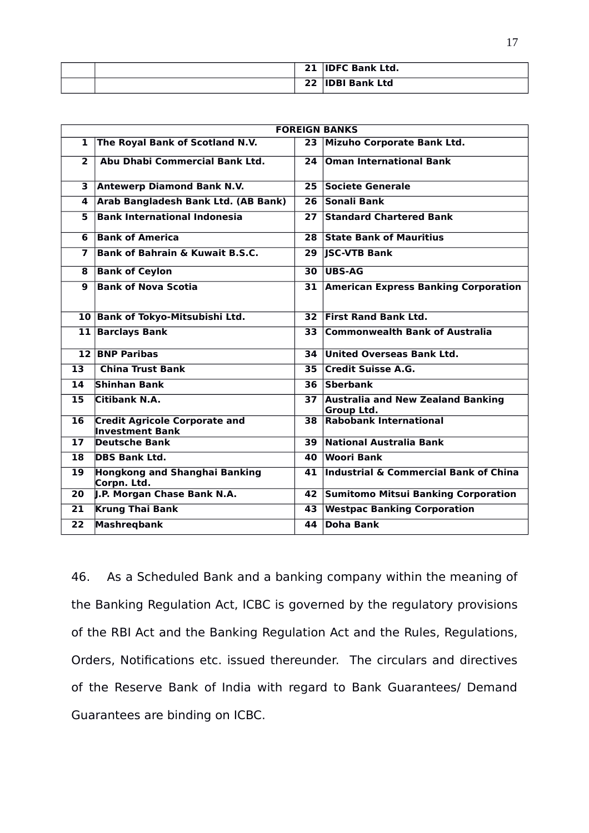|  | 21 | <b>IDFC Bank Ltd.</b> |
|--|----|-----------------------|
|  | 22 | <b>IDBI Bank Ltd</b>  |

| <b>FOREIGN BANKS</b> |                                                                |                 |                                                        |  |  |
|----------------------|----------------------------------------------------------------|-----------------|--------------------------------------------------------|--|--|
| $\mathbf{1}$         | The Royal Bank of Scotland N.V.                                | 23              | Mizuho Corporate Bank Ltd.                             |  |  |
| $\overline{2}$       | Abu Dhabi Commercial Bank Ltd.                                 | 24              | <b>Oman International Bank</b>                         |  |  |
| 3                    | <b>Antewerp Diamond Bank N.V.</b>                              | 25 <sub>1</sub> | Societe Generale                                       |  |  |
| 4                    | Arab Bangladesh Bank Ltd. (AB Bank)                            | 26              | Sonali Bank                                            |  |  |
| 5                    | <b>Bank International Indonesia</b>                            | 27              | <b>Standard Chartered Bank</b>                         |  |  |
| 6                    | <b>Bank of America</b>                                         | 28              | <b>State Bank of Mauritius</b>                         |  |  |
| 7                    | <b>Bank of Bahrain &amp; Kuwait B.S.C.</b>                     | 29              | <b>JSC-VTB Bank</b>                                    |  |  |
| 8                    | <b>Bank of Ceylon</b>                                          | 30              | UBS-AG                                                 |  |  |
| 9                    | <b>Bank of Nova Scotia</b>                                     | 31              | <b>American Express Banking Corporation</b>            |  |  |
|                      | 10 Bank of Tokyo-Mitsubishi Ltd.                               | 32              | <b>First Rand Bank Ltd.</b>                            |  |  |
|                      | 11 Barclays Bank                                               | 33              | <b>Commonwealth Bank of Australia</b>                  |  |  |
|                      | 12 BNP Paribas                                                 | 34              | United Overseas Bank Ltd.                              |  |  |
| 13                   | <b>China Trust Bank</b>                                        | 35              | <b>Credit Suisse A.G.</b>                              |  |  |
| 14                   | <b>Shinhan Bank</b>                                            | 36              | Sberbank                                               |  |  |
| 15                   | Citibank N.A.                                                  | 37              | <b>Australia and New Zealand Banking</b><br>Group Ltd. |  |  |
| 16                   | <b>Credit Agricole Corporate and</b><br><b>Investment Bank</b> | 38              | <b>Rabobank International</b>                          |  |  |
| 17 <sub>1</sub>      | <b>Deutsche Bank</b>                                           | 39              | National Australia Bank                                |  |  |
| 18                   | <b>DBS Bank Ltd.</b>                                           | 40              | Woori Bank                                             |  |  |
| 19                   | <b>Hongkong and Shanghai Banking</b><br>Corpn. Ltd.            | 41              | <b>Industrial &amp; Commercial Bank of China</b>       |  |  |
| 20                   | J.P. Morgan Chase Bank N.A.                                    | 42              | <b>Sumitomo Mitsui Banking Corporation</b>             |  |  |
| 21                   | <b>Krung Thai Bank</b>                                         | 43              | <b>Westpac Banking Corporation</b>                     |  |  |
| $\overline{22}$      | <b>Mashregbank</b>                                             | 44              | <b>Doha Bank</b>                                       |  |  |

46. As a Scheduled Bank and a banking company within the meaning of the Banking Regulation Act, ICBC is governed by the regulatory provisions of the RBI Act and the Banking Regulation Act and the Rules, Regulations, Orders, Notifications etc. issued thereunder. The circulars and directives of the Reserve Bank of India with regard to Bank Guarantees/ Demand Guarantees are binding on ICBC.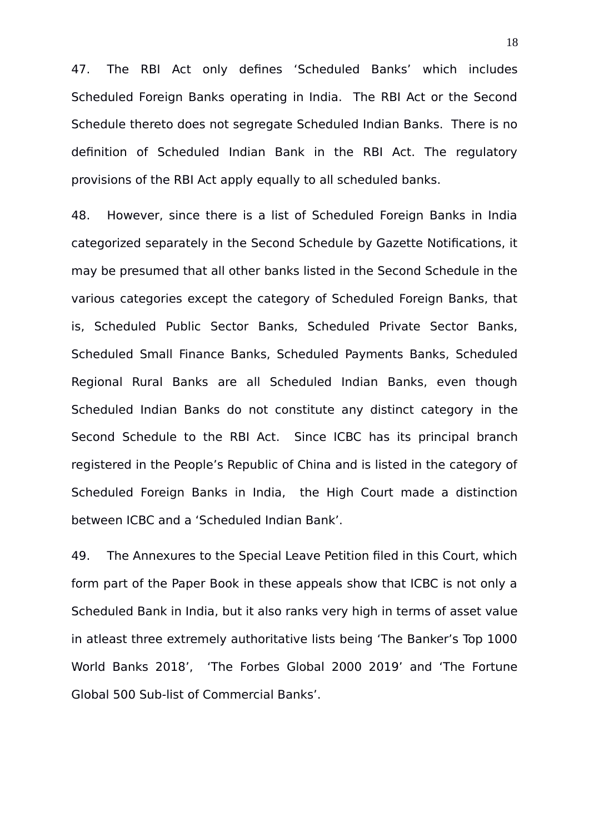47. The RBI Act only defines 'Scheduled Banks' which includes Scheduled Foreign Banks operating in India. The RBI Act or the Second Schedule thereto does not segregate Scheduled Indian Banks. There is no definition of Scheduled Indian Bank in the RBI Act. The regulatory provisions of the RBI Act apply equally to all scheduled banks.

48. However, since there is a list of Scheduled Foreign Banks in India categorized separately in the Second Schedule by Gazette Notifications, it may be presumed that all other banks listed in the Second Schedule in the various categories except the category of Scheduled Foreign Banks, that is, Scheduled Public Sector Banks, Scheduled Private Sector Banks, Scheduled Small Finance Banks, Scheduled Payments Banks, Scheduled Regional Rural Banks are all Scheduled Indian Banks, even though Scheduled Indian Banks do not constitute any distinct category in the Second Schedule to the RBI Act. Since ICBC has its principal branch registered in the People's Republic of China and is listed in the category of Scheduled Foreign Banks in India, the High Court made a distinction between ICBC and a 'Scheduled Indian Bank'.

49. The Annexures to the Special Leave Petition filed in this Court, which form part of the Paper Book in these appeals show that ICBC is not only a Scheduled Bank in India, but it also ranks very high in terms of asset value in atleast three extremely authoritative lists being 'The Banker's Top 1000 World Banks 2018', 'The Forbes Global 2000 2019' and 'The Fortune Global 500 Sub-list of Commercial Banks'.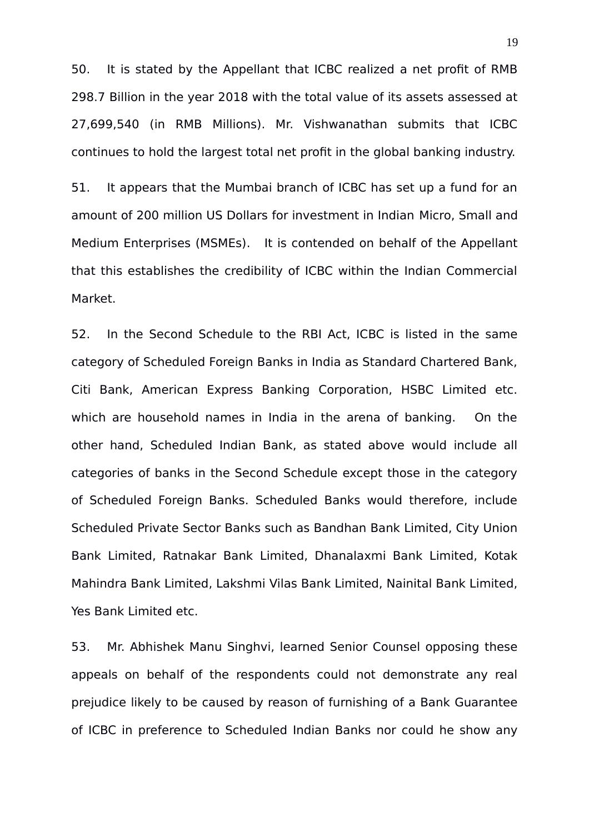50. It is stated by the Appellant that ICBC realized a net profit of RMB 298.7 Billion in the year 2018 with the total value of its assets assessed at 27,699,540 (in RMB Millions). Mr. Vishwanathan submits that ICBC continues to hold the largest total net profit in the global banking industry.

51. It appears that the Mumbai branch of ICBC has set up a fund for an amount of 200 million US Dollars for investment in Indian Micro, Small and Medium Enterprises (MSMEs). It is contended on behalf of the Appellant that this establishes the credibility of ICBC within the Indian Commercial Market.

52. In the Second Schedule to the RBI Act, ICBC is listed in the same category of Scheduled Foreign Banks in India as Standard Chartered Bank, Citi Bank, American Express Banking Corporation, HSBC Limited etc. which are household names in India in the arena of banking. On the other hand, Scheduled Indian Bank, as stated above would include all categories of banks in the Second Schedule except those in the category of Scheduled Foreign Banks. Scheduled Banks would therefore, include Scheduled Private Sector Banks such as Bandhan Bank Limited, City Union Bank Limited, Ratnakar Bank Limited, Dhanalaxmi Bank Limited, Kotak Mahindra Bank Limited, Lakshmi Vilas Bank Limited, Nainital Bank Limited, Yes Bank Limited etc.

53. Mr. Abhishek Manu Singhvi, learned Senior Counsel opposing these appeals on behalf of the respondents could not demonstrate any real prejudice likely to be caused by reason of furnishing of a Bank Guarantee of ICBC in preference to Scheduled Indian Banks nor could he show any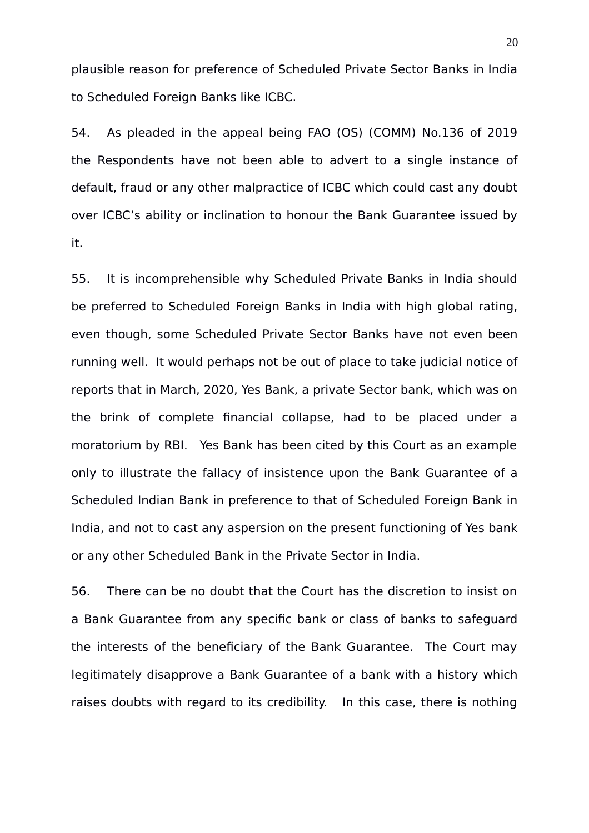plausible reason for preference of Scheduled Private Sector Banks in India to Scheduled Foreign Banks like ICBC.

54. As pleaded in the appeal being FAO (OS) (COMM) No.136 of 2019 the Respondents have not been able to advert to a single instance of default, fraud or any other malpractice of ICBC which could cast any doubt over ICBC's ability or inclination to honour the Bank Guarantee issued by it.

55. It is incomprehensible why Scheduled Private Banks in India should be preferred to Scheduled Foreign Banks in India with high global rating, even though, some Scheduled Private Sector Banks have not even been running well. It would perhaps not be out of place to take judicial notice of reports that in March, 2020, Yes Bank, a private Sector bank, which was on the brink of complete financial collapse, had to be placed under a moratorium by RBI. Yes Bank has been cited by this Court as an example only to illustrate the fallacy of insistence upon the Bank Guarantee of a Scheduled Indian Bank in preference to that of Scheduled Foreign Bank in India, and not to cast any aspersion on the present functioning of Yes bank or any other Scheduled Bank in the Private Sector in India.

56. There can be no doubt that the Court has the discretion to insist on a Bank Guarantee from any specific bank or class of banks to safeguard the interests of the beneficiary of the Bank Guarantee. The Court may legitimately disapprove a Bank Guarantee of a bank with a history which raises doubts with regard to its credibility. In this case, there is nothing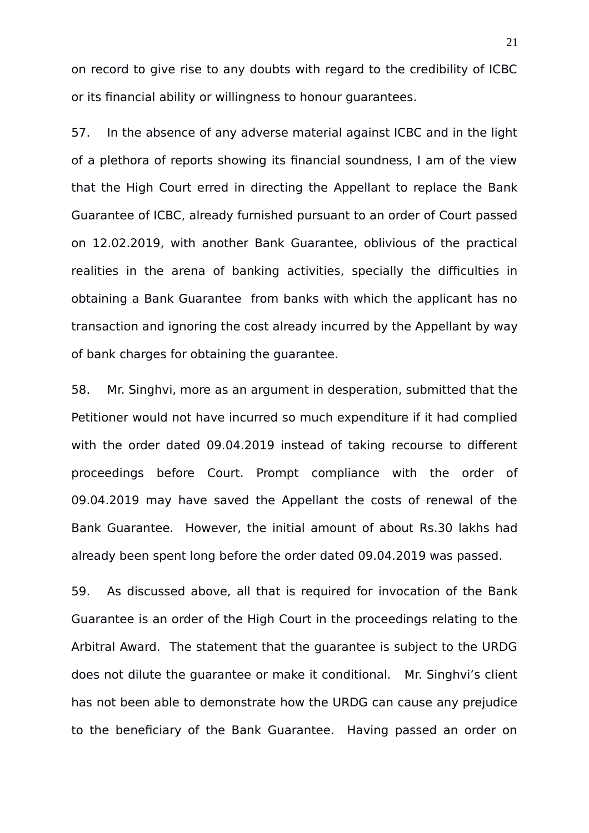on record to give rise to any doubts with regard to the credibility of ICBC or its financial ability or willingness to honour guarantees.

57. In the absence of any adverse material against ICBC and in the light of a plethora of reports showing its financial soundness, I am of the view that the High Court erred in directing the Appellant to replace the Bank Guarantee of ICBC, already furnished pursuant to an order of Court passed on 12.02.2019, with another Bank Guarantee, oblivious of the practical realities in the arena of banking activities, specially the difficulties in obtaining a Bank Guarantee from banks with which the applicant has no transaction and ignoring the cost already incurred by the Appellant by way of bank charges for obtaining the guarantee.

58. Mr. Singhvi, more as an argument in desperation, submitted that the Petitioner would not have incurred so much expenditure if it had complied with the order dated 09.04.2019 instead of taking recourse to different proceedings before Court. Prompt compliance with the order of 09.04.2019 may have saved the Appellant the costs of renewal of the Bank Guarantee. However, the initial amount of about Rs.30 lakhs had already been spent long before the order dated 09.04.2019 was passed.

59. As discussed above, all that is required for invocation of the Bank Guarantee is an order of the High Court in the proceedings relating to the Arbitral Award. The statement that the guarantee is subject to the URDG does not dilute the guarantee or make it conditional. Mr. Singhvi's client has not been able to demonstrate how the URDG can cause any prejudice to the beneficiary of the Bank Guarantee. Having passed an order on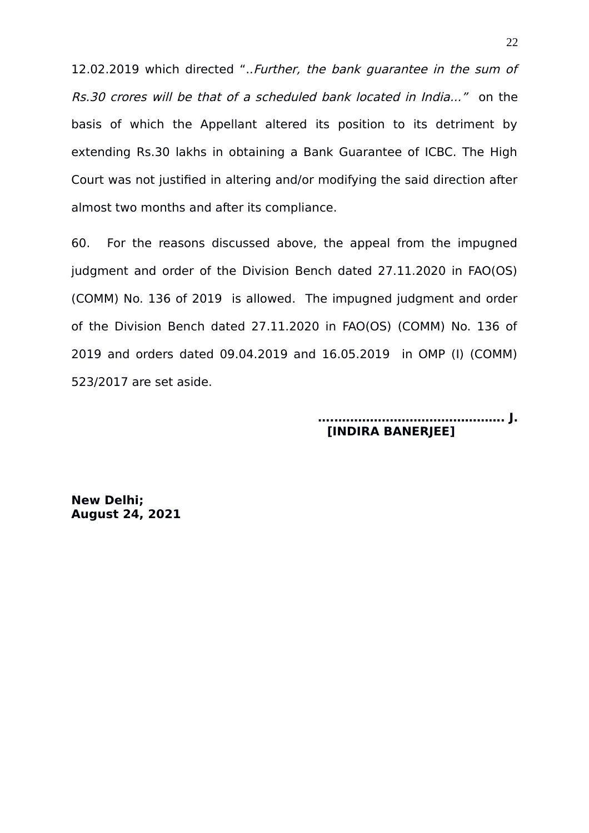12.02.2019 which directed "..Further, the bank guarantee in the sum of Rs.30 crores will be that of a scheduled bank located in India..." on the basis of which the Appellant altered its position to its detriment by extending Rs.30 lakhs in obtaining a Bank Guarantee of ICBC. The High Court was not justified in altering and/or modifying the said direction after almost two months and after its compliance.

60. For the reasons discussed above, the appeal from the impugned judgment and order of the Division Bench dated 27.11.2020 in FAO(OS) (COMM) No. 136 of 2019 is allowed. The impugned judgment and order of the Division Bench dated 27.11.2020 in FAO(OS) (COMM) No. 136 of 2019 and orders dated 09.04.2019 and 16.05.2019 in OMP (I) (COMM) 523/2017 are set aside.

## **….……………………………………. J. [INDIRA BANERJEE]**

**New Delhi; August 24, 2021**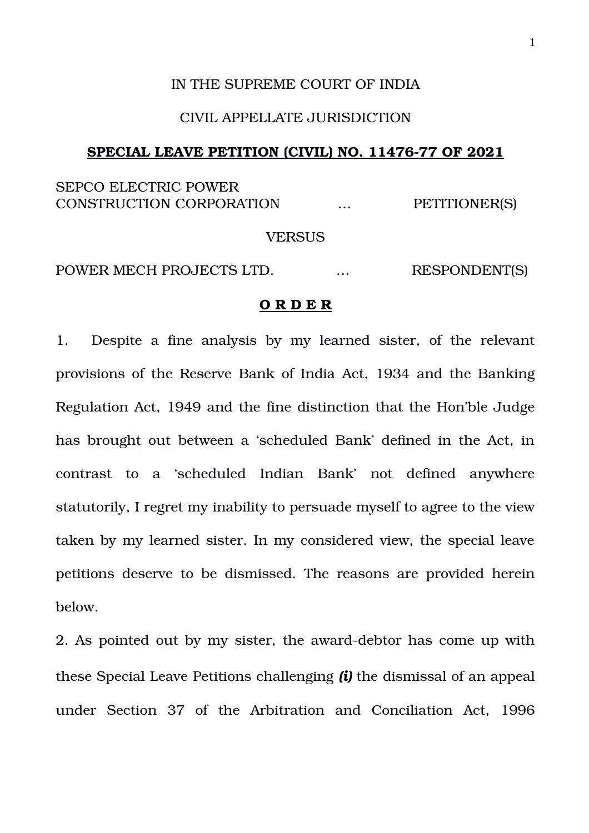## IN THE SUPREME COURT OF INDIA

# CIVIL APPELLATE JURISDICTION

#### SPECIAL LEAVE PETITION (CIVIL) NO. 11476-77 OF 2021

# SEPCO ELECTRIC POWER CONSTRUCTION CORPORATION  $\ldots$ PETITIONER(S)

#### **VERSUS**

POWER MECH PROJECTS LTD. ... RESPONDENT(S)

### **O R D E R**

1. Despite a fine analysis by my learned sister, of the relevant provisions of the Reserve Bank of India Act, 1934 and the Banking Regulation Act, 1949 and the fine distinction that the Hon'ble Judge has brought out between a 'scheduled Bank' defined in the Act, in contrast to a 'scheduled Indian Bank' not defined anywhere statutorily, I regret my inability to persuade myself to agree to the view taken by my learned sister. In my considered view, the special leave petitions deserve to be dismissed. The reasons are provided herein below.

2. As pointed out by my sister, the award-debtor has come up with these Special Leave Petitions challenging *(i)* the dismissal of an appeal under Section 37 of the Arbitration and Conciliation Act, 1996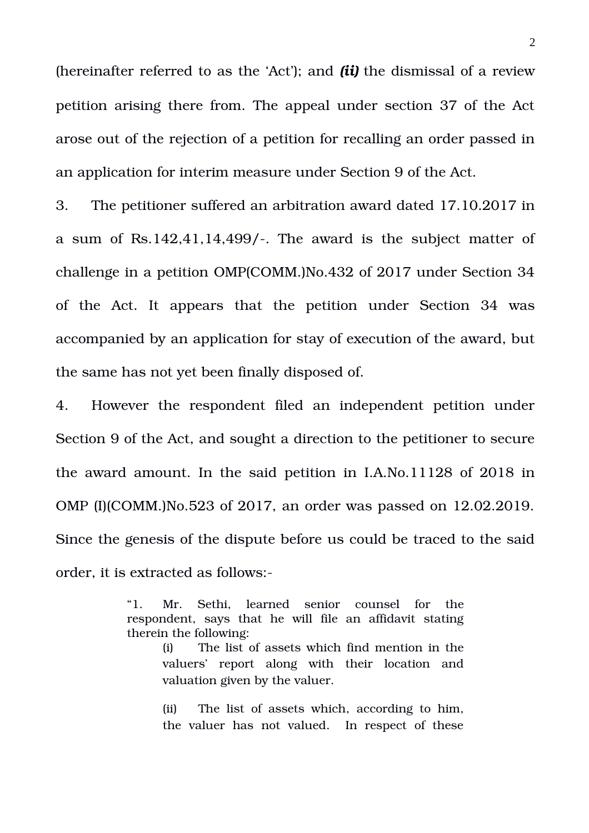(hereinafter referred to as the 'Act'); and *(ii)* the dismissal of a review petition arising there from. The appeal under section 37 of the Act arose out of the rejection of a petition for recalling an order passed in an application for interim measure under Section 9 of the Act.

3. The petitioner suffered an arbitration award dated 17.10.2017 in a sum of Rs.142,41,14,499/. The award is the subject matter of challenge in a petition OMP(COMM.)No.432 of 2017 under Section 34 of the Act. It appears that the petition under Section 34 was accompanied by an application for stay of execution of the award, but the same has not yet been finally disposed of.

4. However the respondent filed an independent petition under Section 9 of the Act, and sought a direction to the petitioner to secure the award amount. In the said petition in I.A.No.11128 of 2018 in OMP (I)(COMM.)No.523 of 2017, an order was passed on 12.02.2019. Since the genesis of the dispute before us could be traced to the said order, it is extracted as follows:

> "1. Mr. Sethi, learned senior counsel for the respondent, says that he will file an affidavit stating therein the following:

(i) The list of assets which find mention in the valuers' report along with their location and valuation given by the valuer.

(ii) The list of assets which, according to him, the valuer has not valued. In respect of these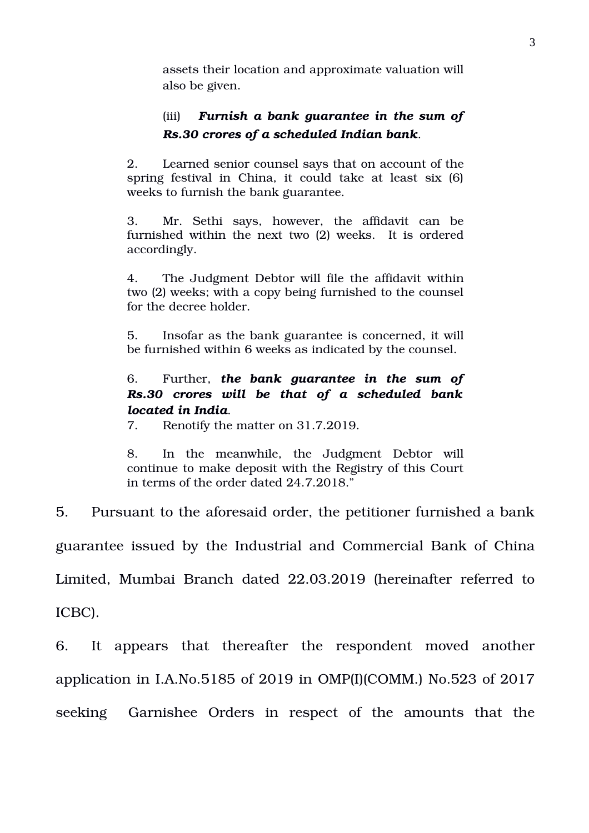assets their location and approximate valuation will also be given.

# (iii) *Furnish a bank guarantee in the sum of Rs.30 crores of a scheduled Indian bank*.

2. Learned senior counsel says that on account of the spring festival in China, it could take at least six (6) weeks to furnish the bank guarantee.

3. Mr. Sethi says, however, the affidavit can be furnished within the next two (2) weeks. It is ordered accordingly.

4. The Judgment Debtor will file the affidavit within two (2) weeks; with a copy being furnished to the counsel for the decree holder.

5. Insofar as the bank guarantee is concerned, it will be furnished within 6 weeks as indicated by the counsel.

# 6. Further, *the bank guarantee in the sum of Rs.30 crores will be that of a scheduled bank located in India*.

7. Renotify the matter on 31.7.2019.

8. In the meanwhile, the Judgment Debtor will continue to make deposit with the Registry of this Court in terms of the order dated 24.7.2018."

5. Pursuant to the aforesaid order, the petitioner furnished a bank

guarantee issued by the Industrial and Commercial Bank of China

Limited, Mumbai Branch dated 22.03.2019 (hereinafter referred to

ICBC).

6. It appears that thereafter the respondent moved another application in I.A.No.5185 of 2019 in OMP(I)(COMM.) No.523 of 2017 seeking Garnishee Orders in respect of the amounts that the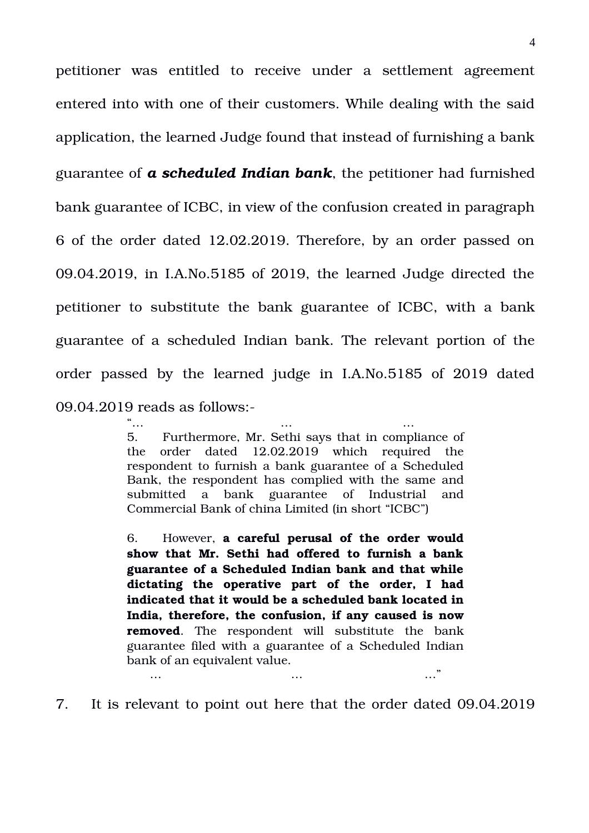petitioner was entitled to receive under a settlement agreement entered into with one of their customers. While dealing with the said application, the learned Judge found that instead of furnishing a bank guarantee of *a scheduled Indian bank*, the petitioner had furnished bank guarantee of ICBC, in view of the confusion created in paragraph 6 of the order dated 12.02.2019. Therefore, by an order passed on 09.04.2019, in I.A.No.5185 of 2019, the learned Judge directed the petitioner to substitute the bank guarantee of ICBC, with a bank guarantee of a scheduled Indian bank. The relevant portion of the order passed by the learned judge in I.A.No.5185 of 2019 dated 09.04.2019 reads as follows:

> "… … … 5. Furthermore, Mr. Sethi says that in compliance of the order dated 12.02.2019 which required the respondent to furnish a bank guarantee of a Scheduled Bank, the respondent has complied with the same and submitted a bank guarantee of Industrial and Commercial Bank of china Limited (in short "ICBC")

> 6. However, **a careful perusal of the order would show that Mr. Sethi had offered to furnish a bank guarantee of a Scheduled Indian bank and that while dictating the operative part of the order, I had indicated that it would be a scheduled bank located in India, therefore, the confusion, if any caused is now removed**. The respondent will substitute the bank guarantee filed with a guarantee of a Scheduled Indian bank of an equivalent value. … … …"

7. It is relevant to point out here that the order dated 09.04.2019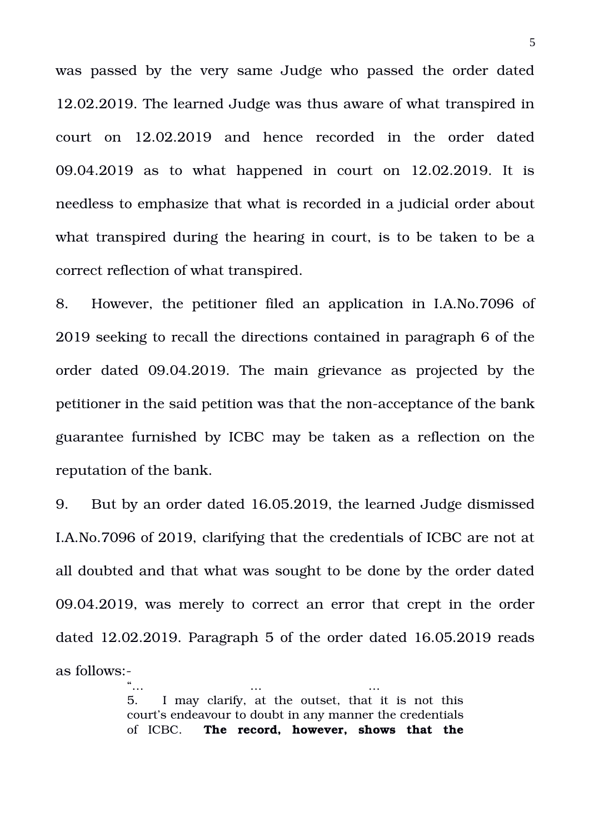was passed by the very same Judge who passed the order dated 12.02.2019. The learned Judge was thus aware of what transpired in court on 12.02.2019 and hence recorded in the order dated 09.04.2019 as to what happened in court on  $12.02.2019$ . It is needless to emphasize that what is recorded in a judicial order about what transpired during the hearing in court, is to be taken to be a correct reflection of what transpired.

8. However, the petitioner filed an application in I.A.No.7096 of 2019 seeking to recall the directions contained in paragraph 6 of the order dated 09.04.2019. The main grievance as projected by the petitioner in the said petition was that the non-acceptance of the bank guarantee furnished by ICBC may be taken as a reflection on the reputation of the bank.

9. But by an order dated 16.05.2019, the learned Judge dismissed I.A.No.7096 of 2019, clarifying that the credentials of ICBC are not at all doubted and that what was sought to be done by the order dated 09.04.2019, was merely to correct an error that crept in the order dated 12.02.2019. Paragraph 5 of the order dated 16.05.2019 reads as follows:

> "… … … 5. I may clarify, at the outset, that it is not this court's endeavour to doubt in any manner the credentials of ICBC. **The record, however, shows that the**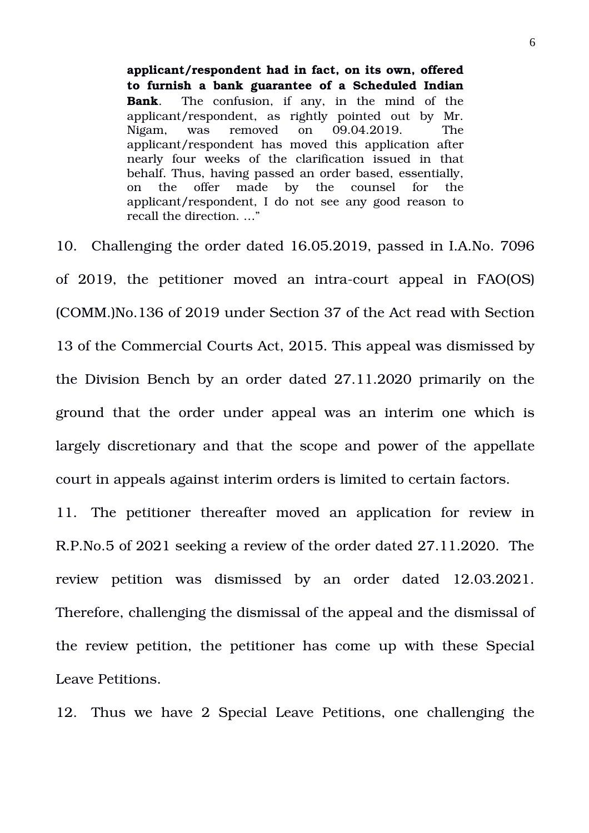**applicant/respondent had in fact, on its own, offered to furnish a bank guarantee of a Scheduled Indian Bank**. The confusion, if any, in the mind of the applicant/respondent, as rightly pointed out by Mr. Nigam, was removed on 09.04.2019. The applicant/respondent has moved this application after nearly four weeks of the clarification issued in that behalf. Thus, having passed an order based, essentially, on the offer made by the counsel for the applicant/respondent, I do not see any good reason to recall the direction. …"

10. Challenging the order dated 16.05.2019, passed in I.A.No. 7096 of 2019, the petitioner moved an intra-court appeal in FAO(OS) (COMM.)No.136 of 2019 under Section 37 of the Act read with Section 13 of the Commercial Courts Act, 2015. This appeal was dismissed by the Division Bench by an order dated 27.11.2020 primarily on the ground that the order under appeal was an interim one which is largely discretionary and that the scope and power of the appellate court in appeals against interim orders is limited to certain factors.

11. The petitioner thereafter moved an application for review in R.P.No.5 of 2021 seeking a review of the order dated 27.11.2020. The review petition was dismissed by an order dated 12.03.2021. Therefore, challenging the dismissal of the appeal and the dismissal of the review petition, the petitioner has come up with these Special Leave Petitions.

12. Thus we have 2 Special Leave Petitions, one challenging the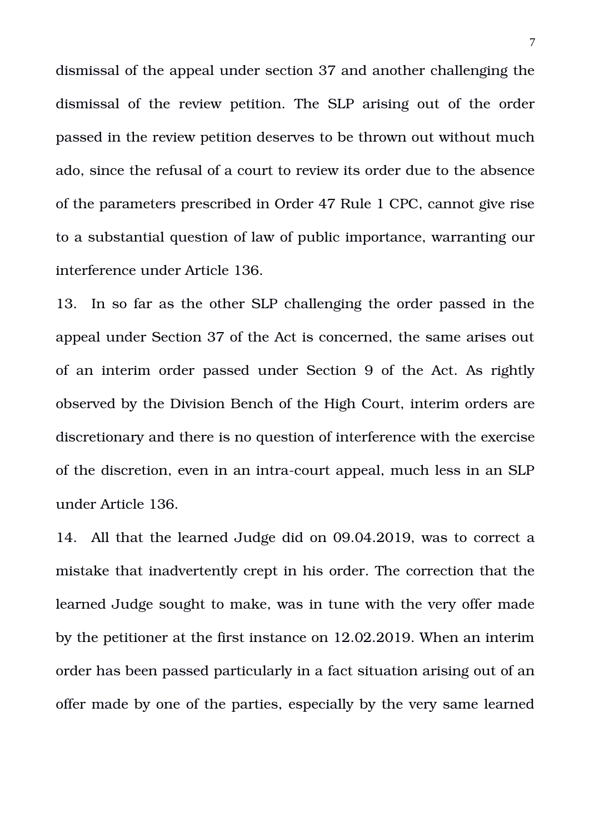dismissal of the appeal under section 37 and another challenging the dismissal of the review petition. The SLP arising out of the order passed in the review petition deserves to be thrown out without much ado, since the refusal of a court to review its order due to the absence of the parameters prescribed in Order 47 Rule 1 CPC, cannot give rise to a substantial question of law of public importance, warranting our interference under Article 136.

13. In so far as the other SLP challenging the order passed in the appeal under Section 37 of the Act is concerned, the same arises out of an interim order passed under Section 9 of the Act. As rightly observed by the Division Bench of the High Court, interim orders are discretionary and there is no question of interference with the exercise of the discretion, even in an intra-court appeal, much less in an SLP under Article 136.

14. All that the learned Judge did on 09.04.2019, was to correct a mistake that inadvertently crept in his order. The correction that the learned Judge sought to make, was in tune with the very offer made by the petitioner at the first instance on 12.02.2019. When an interim order has been passed particularly in a fact situation arising out of an offer made by one of the parties, especially by the very same learned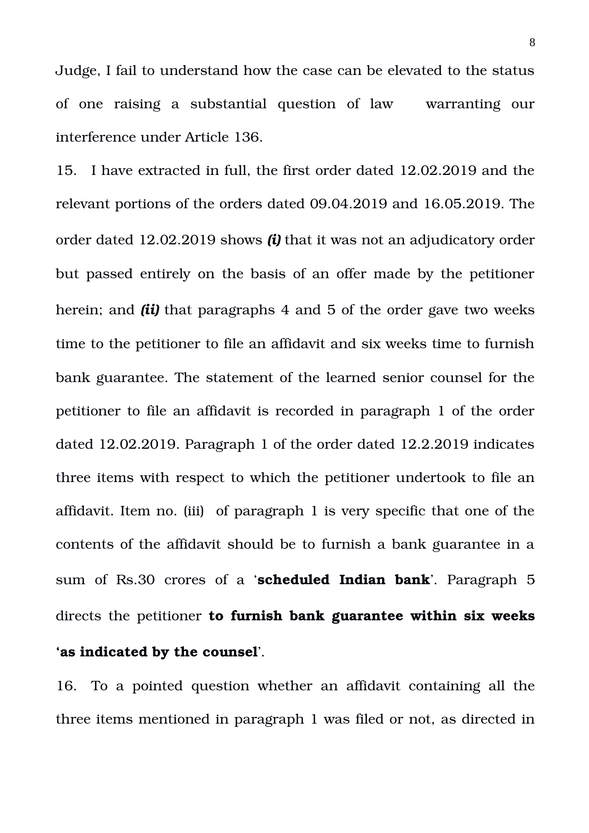Judge, I fail to understand how the case can be elevated to the status of one raising a substantial question of law warranting our interference under Article 136.

15. I have extracted in full, the first order dated 12.02.2019 and the relevant portions of the orders dated 09.04.2019 and 16.05.2019. The order dated 12.02.2019 shows *(i)* that it was not an adjudicatory order but passed entirely on the basis of an offer made by the petitioner herein; and *(ii)* that paragraphs 4 and 5 of the order gave two weeks time to the petitioner to file an affidavit and six weeks time to furnish bank guarantee. The statement of the learned senior counsel for the petitioner to file an affidavit is recorded in paragraph 1 of the order dated 12.02.2019. Paragraph 1 of the order dated 12.2.2019 indicates three items with respect to which the petitioner undertook to file an affidavit. Item no. (iii) of paragraph 1 is very specific that one of the contents of the affidavit should be to furnish a bank guarantee in a sum of Rs.30 crores of a '**scheduled Indian bank**'. Paragraph 5 directs the petitioner **to furnish bank guarantee within six weeks 'as indicated by the counsel**'.

16. To a pointed question whether an affidavit containing all the three items mentioned in paragraph 1 was filed or not, as directed in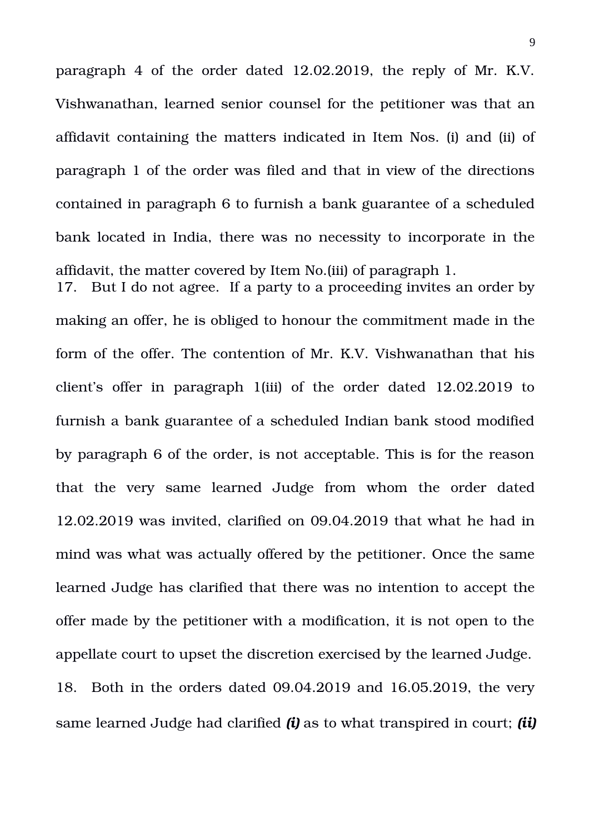paragraph 4 of the order dated 12.02.2019, the reply of Mr. K.V. Vishwanathan, learned senior counsel for the petitioner was that an affidavit containing the matters indicated in Item Nos. (i) and (ii) of paragraph 1 of the order was filed and that in view of the directions contained in paragraph 6 to furnish a bank guarantee of a scheduled bank located in India, there was no necessity to incorporate in the affidavit, the matter covered by Item No.(iii) of paragraph 1.

17. But I do not agree. If a party to a proceeding invites an order by making an offer, he is obliged to honour the commitment made in the form of the offer. The contention of Mr. K.V. Vishwanathan that his client's offer in paragraph 1(iii) of the order dated 12.02.2019 to furnish a bank guarantee of a scheduled Indian bank stood modified by paragraph 6 of the order, is not acceptable. This is for the reason that the very same learned Judge from whom the order dated 12.02.2019 was invited, clarified on 09.04.2019 that what he had in mind was what was actually offered by the petitioner. Once the same learned Judge has clarified that there was no intention to accept the offer made by the petitioner with a modification, it is not open to the appellate court to upset the discretion exercised by the learned Judge. 18. Both in the orders dated 09.04.2019 and 16.05.2019, the very same learned Judge had clarified *(i)* as to what transpired in court; *(ii)*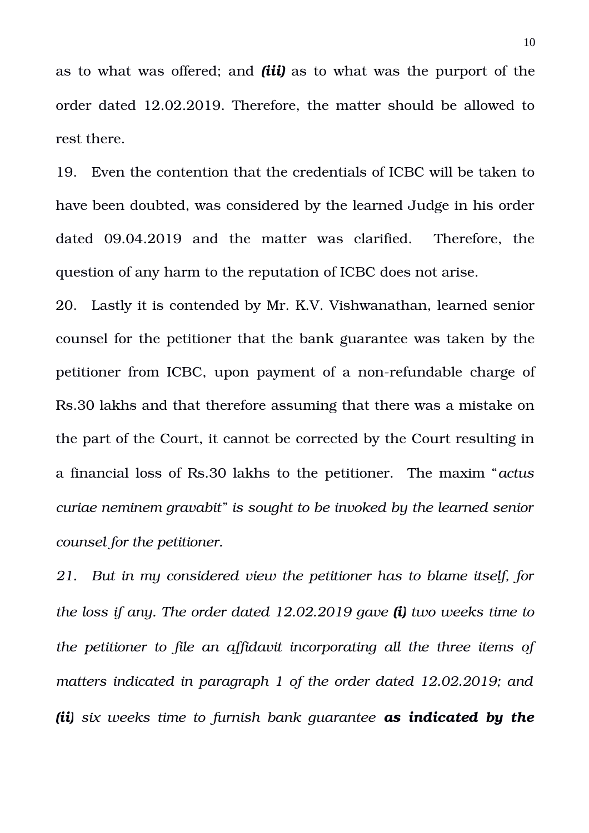as to what was offered; and *(iii)* as to what was the purport of the order dated 12.02.2019. Therefore, the matter should be allowed to rest there.

19. Even the contention that the credentials of ICBC will be taken to have been doubted, was considered by the learned Judge in his order dated 09.04.2019 and the matter was clarified. Therefore, the question of any harm to the reputation of ICBC does not arise.

20. Lastly it is contended by Mr. K.V. Vishwanathan, learned senior counsel for the petitioner that the bank guarantee was taken by the petitioner from ICBC, upon payment of a non-refundable charge of Rs.30 lakhs and that therefore assuming that there was a mistake on the part of the Court, it cannot be corrected by the Court resulting in a financial loss of Rs.30 lakhs to the petitioner. The maxim "*actus curiae neminem gravabit" is sought to be invoked by the learned senior counsel for the petitioner.*

*21. But in my considered view the petitioner has to blame itself, for the loss if any. The order dated 12.02.2019 gave (i) two weeks time to the petitioner to file an affidavit incorporating all the three items of matters indicated in paragraph 1 of the order dated 12.02.2019; and (ii) six weeks time to furnish bank guarantee as indicated by the*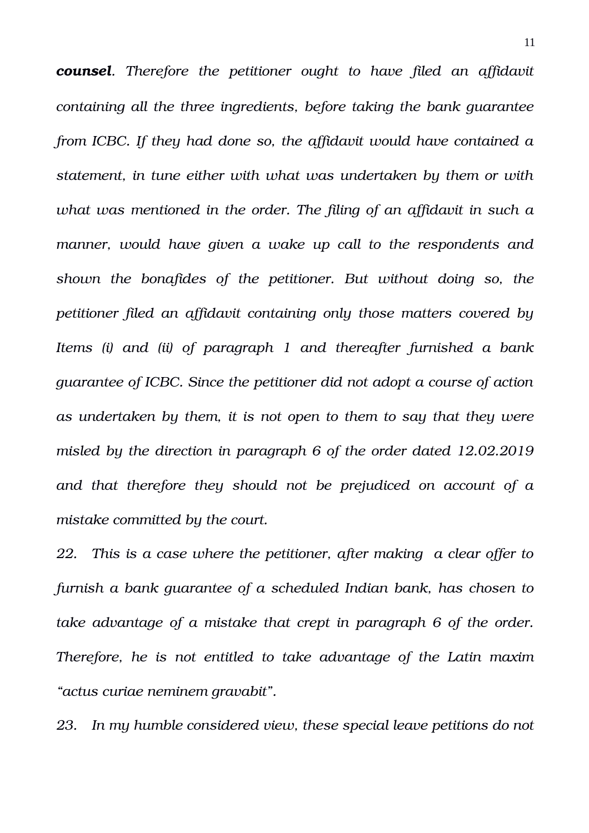*counsel. Therefore the petitioner ought to have filed an affidavit containing all the three ingredients, before taking the bank guarantee from ICBC. If they had done so, the affidavit would have contained a statement, in tune either with what was undertaken by them or with what was mentioned in the order. The filing of an affidavit in such a manner, would have given a wake up call to the respondents and shown the bonafides of the petitioner. But without doing so, the petitioner filed an affidavit containing only those matters covered by Items (i) and (ii) of paragraph 1 and thereafter furnished a bank guarantee of ICBC. Since the petitioner did not adopt a course of action as undertaken by them, it is not open to them to say that they were misled by the direction in paragraph 6 of the order dated 12.02.2019 and that therefore they should not be prejudiced on account of a mistake committed by the court.*

*22. This is a case where the petitioner, after making a clear offer to furnish a bank guarantee of a scheduled Indian bank, has chosen to take advantage of a mistake that crept in paragraph 6 of the order. Therefore, he is not entitled to take advantage of the Latin maxim "actus curiae neminem gravabit".*

*23. In my humble considered view, these special leave petitions do not*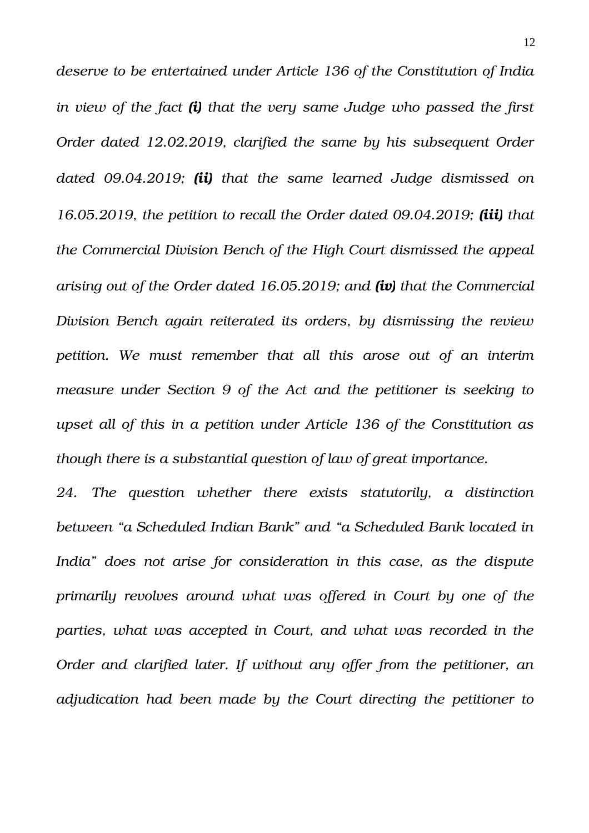*deserve to be entertained under Article 136 of the Constitution of India in view of the fact (i) that the very same Judge who passed the first Order dated 12.02.2019, clarified the same by his subsequent Order dated 09.04.2019; (ii) that the same learned Judge dismissed on 16.05.2019, the petition to recall the Order dated 09.04.2019; (iii) that the Commercial Division Bench of the High Court dismissed the appeal arising out of the Order dated 16.05.2019; and (iv) that the Commercial Division Bench again reiterated its orders, by dismissing the review petition. We must remember that all this arose out of an interim measure under Section 9 of the Act and the petitioner is seeking to upset all of this in a petition under Article 136 of the Constitution as though there is a substantial question of law of great importance.*

*24. The question whether there exists statutorily, a distinction between "a Scheduled Indian Bank" and "a Scheduled Bank located in India" does not arise for consideration in this case, as the dispute primarily revolves around what was offered in Court by one of the parties, what was accepted in Court, and what was recorded in the Order and clarified later. If without any offer from the petitioner, an adjudication had been made by the Court directing the petitioner to*